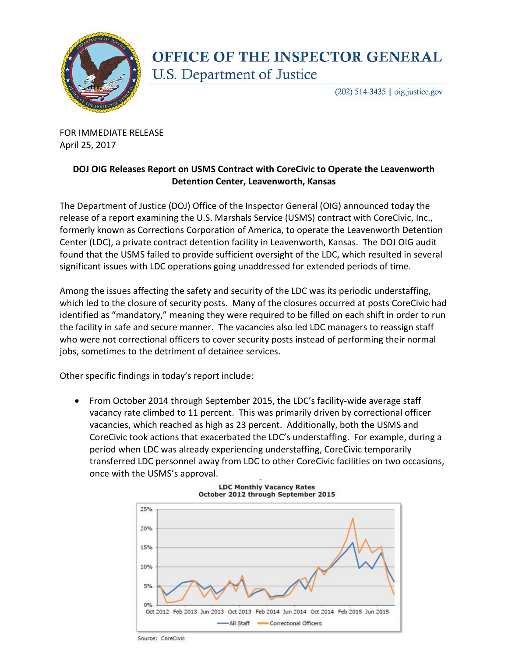

## **OFFICE OF THE INSPECTOR GENERAL** U.S. Department of Justice

(202) 514-3435 | oig.justice.gov

FOR IMMEDIATE RELEASE April 25, 2017

## **DOJ OIG Releases Report on USMS Contract with CoreCivic to Operate the Leavenworth Detention Center, Leavenworth, Kansas**

The Department of Justice (DOJ) Office of the Inspector General (OIG) announced today the release of a report examining the U.S. Marshals Service (USMS) contract with CoreCivic, Inc., formerly known as Corrections Corporation of America, to operate the Leavenworth Detention Center (LDC), a private contract detention facility in Leavenworth, Kansas. The DOJ OIG audit found that the USMS failed to provide sufficient oversight of the LDC, which resulted in several significant issues with LDC operations going unaddressed for extended periods of time.

Among the issues affecting the safety and security of the LDC was its periodic understaffing, which led to the closure of security posts. Many of the closures occurred at posts CoreCivic had identified as "mandatory," meaning they were required to be filled on each shift in order to run the facility in safe and secure manner. The vacancies also led LDC managers to reassign staff who were not correctional officers to cover security posts instead of performing their normal jobs, sometimes to the detriment of detainee services.

Other specific findings in today's report include:

• From October 2014 through September 2015, the LDC's facility-wide average staff vacancy rate climbed to 11 percent. This was primarily driven by correctional officer vacancies, which reached as high as 23 percent. Additionally, both the USMS and CoreCivic took actions that exacerbated the LDC's understaffing. For example, during a period when LDC was already experiencing understaffing, CoreCivic temporarily transferred LDC personnel away from LDC to other CoreCivic facilities on two occasions, once with the USMS's approval.





Source: CoreCivic